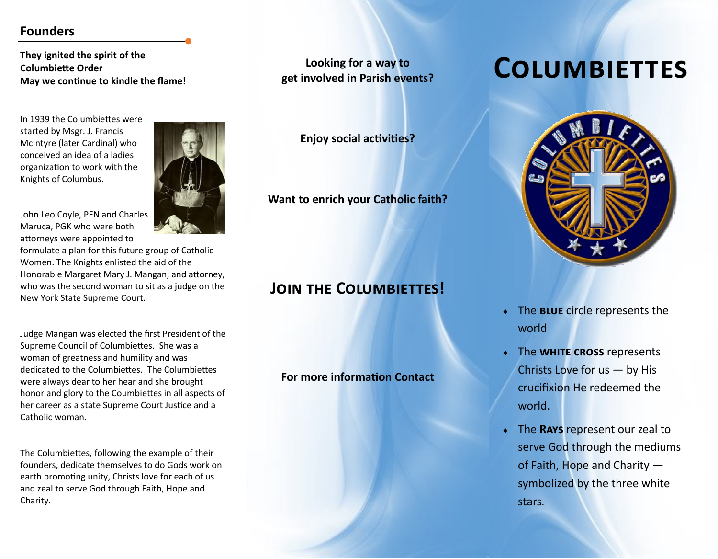#### **Founders**

**They ignited the spirit of the Columbiette Order May we continue to kindle the flame!**

In 1939 the Columbiettes were started by Msgr. J. Francis McIntyre (later Cardinal) who conceived an idea of a ladies organization to work with the Knights of Columbus.

John Leo Coyle, PFN and Charles Maruca, PGK who were both attorneys were appointed to

formulate a plan for this future group of Catholic Women. The Knights enlisted the aid of the Honorable Margaret Mary J. Mangan, and attorney, who was the second woman to sit as a judge on the New York State Supreme Court.

Judge Mangan was elected the first President of the Supreme Council of Columbiettes. She was a woman of greatness and humility and was dedicated to the Columbiettes. The Columbiettes were always dear to her hear and she brought honor and glory to the Coumbiettes in all aspects of her career as a state Supreme Court Justice and a Catholic woman.

The Columbiettes, following the example of their founders, dedicate themselves to do Gods work on earth promoting unity, Christs love for each of us and zeal to serve God through Faith, Hope and Charity.

**Looking for a way to get involved in Parish events?**

**Enjoy social activities?**

**Want to enrich your Catholic faith?**

## **JOIN THE COLUMBIETTES!**

#### **For more information Contact**





- The **blue** circle represents the world
- The **white cross** represents Christs Love for us — by His crucifixion He redeemed the world.
- The **Rays** represent our zeal to serve God through the mediums of Faith, Hope and Charity symbolized by the three white stars.